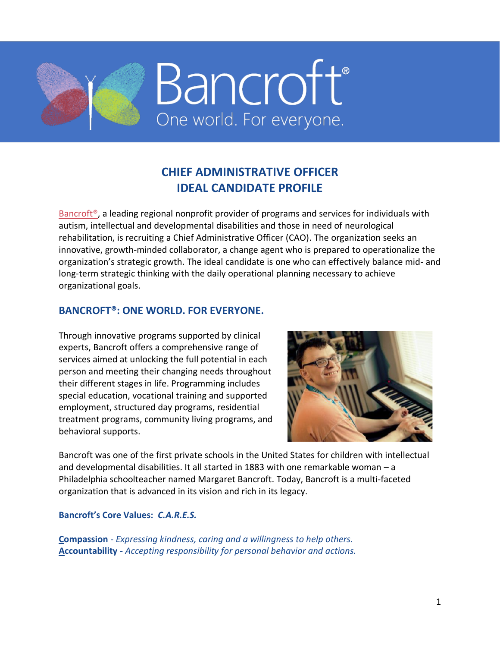

# **CHIEF ADMINISTRATIVE OFFICER IDEAL CANDIDATE PROFILE**

Bancroft<sup>®</sup>, a leading regional nonprofit provider of programs and services for individuals with autism, intellectual and developmental disabilities and those in need of neurological rehabilitation, is recruiting a Chief Administrative Officer (CAO). The organization seeks an innovative, growth-minded collaborator, a change agent who is prepared to operationalize the organization's strategic growth. The ideal candidate is one who can effectively balance mid- and long-term strategic thinking with the daily operational planning necessary to achieve organizational goals.

## **BANCROFT®: ONE WORLD. FOR EVERYONE.**

Through innovative programs supported by clinical experts, Bancroft offers a comprehensive range of services aimed at unlocking the full potential in each person and meeting their changing needs throughout their different stages in life. Programming includes special education, vocational training and supported employment, structured day programs, residential treatment programs, community living programs, and behavioral supports.



Bancroft was one of the first private schools in the United States for children with intellectual and developmental disabilities. It all started in 1883 with one remarkable woman – a Philadelphia schoolteacher named Margaret Bancroft. Today, Bancroft is a multi-faceted organization that is advanced in its vision and rich in its legacy.

**Bancroft's Core Values:** *C.A.R.E.S.*

**Compassion** - *Expressing kindness, caring and a willingness to help others.* **Accountability** *- Accepting responsibility for personal behavior and actions.*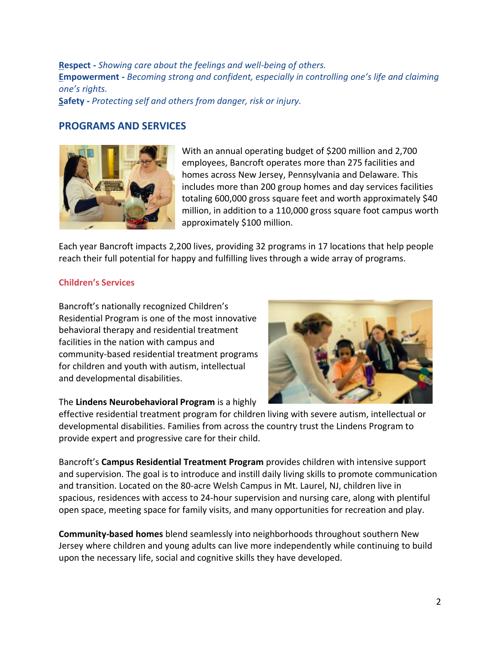**Respect** *- Showing care about the feelings and well-being of others.* **Empowerment** *- Becoming strong and confident, especially in controlling one's life and claiming one's rights.*

**Safety** *- Protecting self and others from danger, risk or injury.*

### **PROGRAMS AND SERVICES**



With an annual operating budget of \$200 million and 2,700 employees, Bancroft operates more than 275 facilities and homes across New Jersey, Pennsylvania and Delaware. This includes more than 200 group homes and day services facilities totaling 600,000 gross square feet and worth approximately \$40 million, in addition to a 110,000 gross square foot campus worth approximately \$100 million.

Each year Bancroft impacts 2,200 lives, providing 32 programs in 17 locations that help people reach their full potential for happy and fulfilling lives through a wide array of programs.

#### **Children's Services**

Bancroft's nationally recognized Children's Residential Program is one of the most innovative behavioral therapy and residential treatment facilities in the nation with campus and community-based residential treatment programs for children and youth with autism, intellectual and developmental disabilities.

#### The **Lindens Neurobehavioral Program** is a highly



effective residential treatment program for children living with severe autism, intellectual or developmental disabilities. Families from across the country trust the Lindens Program to provide expert and progressive care for their child.

Bancroft's **Campus Residential Treatment Program** provides children with intensive support and supervision. The goal is to introduce and instill daily living skills to promote communication and transition. Located on the 80-acre Welsh Campus in Mt. Laurel, NJ, children live in spacious, residences with access to 24-hour supervision and nursing care, along with plentiful open space, meeting space for family visits, and many opportunities for recreation and play.

**Community-based homes** blend seamlessly into neighborhoods throughout southern New Jersey where children and young adults can live more independently while continuing to build upon the necessary life, social and cognitive skills they have developed.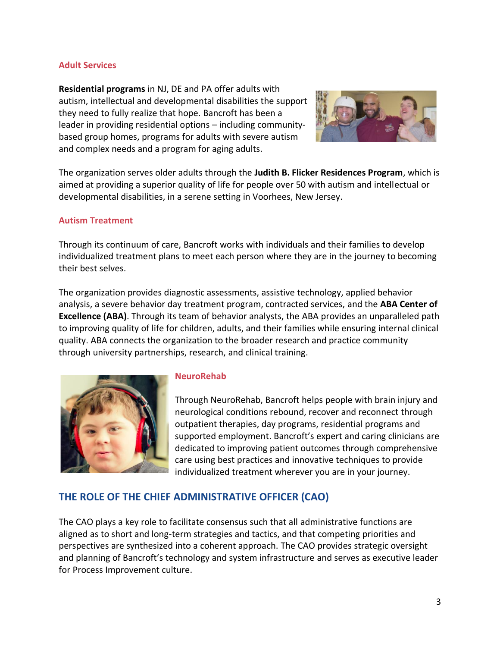#### **Adult Services**

**Residential programs** in NJ, DE and PA offer adults with autism, intellectual and developmental disabilities the support they need to fully realize that hope. Bancroft has been a leader in providing residential options – including communitybased group homes, programs for adults with severe autism and complex needs and a program for aging adults.



The organization serves older adults through the **Judith B. Flicker Residences Program**, which is aimed at providing a superior quality of life for people over 50 with autism and intellectual or developmental disabilities, in a serene setting in Voorhees, New Jersey.

#### **Autism Treatment**

Through its continuum of care, Bancroft works with individuals and their families to develop individualized treatment plans to meet each person where they are in the journey to becoming their best selves.

The organization provides diagnostic assessments, assistive technology, applied behavior analysis, a severe behavior day treatment program, contracted services, and the **ABA Center of Excellence (ABA)**. Through its team of behavior analysts, the ABA provides an unparalleled path to improving quality of life for children, adults, and their families while ensuring internal clinical quality. ABA connects the organization to the broader research and practice community through university partnerships, research, and clinical training.



### **NeuroRehab**

Through NeuroRehab, Bancroft helps people with brain injury and neurological conditions rebound, recover and reconnect through outpatient therapies, day programs, residential programs and supported employment. Bancroft's expert and caring clinicians are dedicated to improving patient outcomes through comprehensive care using best practices and innovative techniques to provide individualized treatment wherever you are in your journey.

## **THE ROLE OF THE CHIEF ADMINISTRATIVE OFFICER (CAO)**

The CAO plays a key role to facilitate consensus such that all administrative functions are aligned as to short and long-term strategies and tactics, and that competing priorities and perspectives are synthesized into a coherent approach. The CAO provides strategic oversight and planning of Bancroft's technology and system infrastructure and serves as executive leader for Process Improvement culture.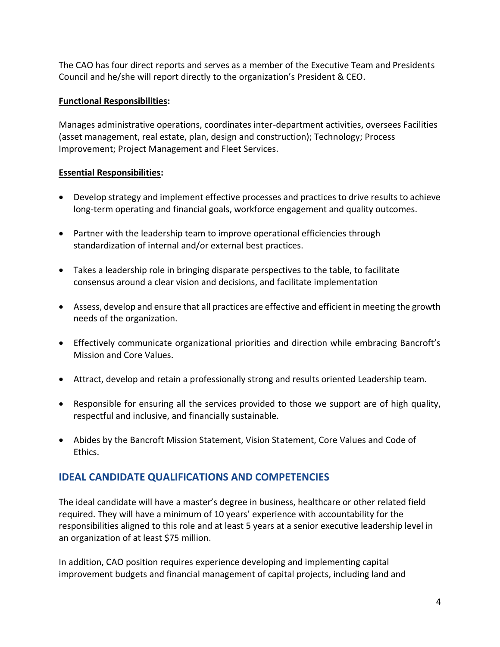The CAO has four direct reports and serves as a member of the Executive Team and Presidents Council and he/she will report directly to the organization's President & CEO.

### **Functional Responsibilities:**

Manages administrative operations, coordinates inter-department activities, oversees Facilities (asset management, real estate, plan, design and construction); Technology; Process Improvement; Project Management and Fleet Services.

## **Essential Responsibilities:**

- Develop strategy and implement effective processes and practices to drive results to achieve long-term operating and financial goals, workforce engagement and quality outcomes.
- Partner with the leadership team to improve operational efficiencies through standardization of internal and/or external best practices.
- Takes a leadership role in bringing disparate perspectives to the table, to facilitate consensus around a clear vision and decisions, and facilitate implementation
- Assess, develop and ensure that all practices are effective and efficient in meeting the growth needs of the organization.
- Effectively communicate organizational priorities and direction while embracing Bancroft's Mission and Core Values.
- Attract, develop and retain a professionally strong and results oriented Leadership team.
- Responsible for ensuring all the services provided to those we support are of high quality, respectful and inclusive, and financially sustainable.
- Abides by the Bancroft Mission Statement, Vision Statement, Core Values and Code of Ethics.

## **IDEAL CANDIDATE QUALIFICATIONS AND COMPETENCIES**

The ideal candidate will have a master's degree in business, healthcare or other related field required. They will have a minimum of 10 years' experience with accountability for the responsibilities aligned to this role and at least 5 years at a senior executive leadership level in an organization of at least \$75 million.

In addition, CAO position requires experience developing and implementing capital improvement budgets and financial management of capital projects, including land and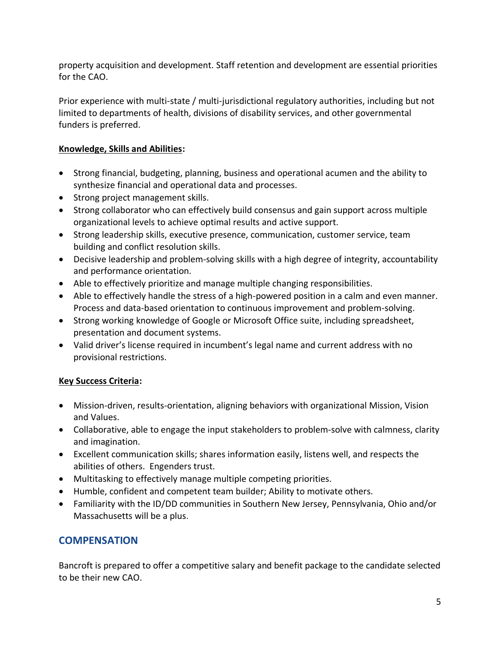property acquisition and development. Staff retention and development are essential priorities for the CAO.

Prior experience with multi-state / multi-jurisdictional regulatory authorities, including but not limited to departments of health, divisions of disability services, and other governmental funders is preferred.

## **Knowledge, Skills and Abilities:**

- Strong financial, budgeting, planning, business and operational acumen and the ability to synthesize financial and operational data and processes.
- Strong project management skills.
- Strong collaborator who can effectively build consensus and gain support across multiple organizational levels to achieve optimal results and active support.
- Strong leadership skills, executive presence, communication, customer service, team building and conflict resolution skills.
- Decisive leadership and problem-solving skills with a high degree of integrity, accountability and performance orientation.
- Able to effectively prioritize and manage multiple changing responsibilities.
- Able to effectively handle the stress of a high-powered position in a calm and even manner. Process and data-based orientation to continuous improvement and problem-solving.
- Strong working knowledge of Google or Microsoft Office suite, including spreadsheet, presentation and document systems.
- Valid driver's license required in incumbent's legal name and current address with no provisional restrictions.

## **Key Success Criteria:**

- Mission-driven, results-orientation, aligning behaviors with organizational Mission, Vision and Values.
- Collaborative, able to engage the input stakeholders to problem-solve with calmness, clarity and imagination.
- Excellent communication skills; shares information easily, listens well, and respects the abilities of others. Engenders trust.
- Multitasking to effectively manage multiple competing priorities.
- Humble, confident and competent team builder; Ability to motivate others.
- Familiarity with the ID/DD communities in Southern New Jersey, Pennsylvania, Ohio and/or Massachusetts will be a plus.

## **COMPENSATION**

Bancroft is prepared to offer a competitive salary and benefit package to the candidate selected to be their new CAO.